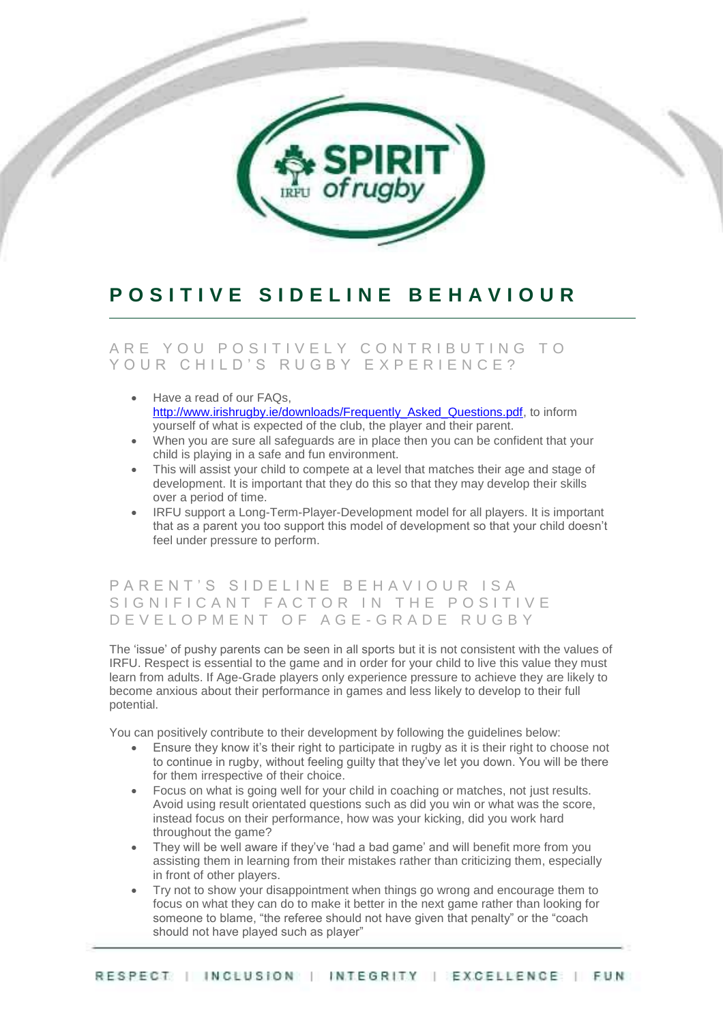

# **P O S I T I V E S I D E L I N E B E H A V I O U R**

### ARE YOU POSITIVELY CONTRIBUTING TO YOUR CHILD'S RUGBY EXPERIENCE?

- Have a read of our FAQs, [http://www.irishrugby.ie/downloads/Frequently\\_Asked\\_Questions.pdf,](http://www.irishrugby.ie/downloads/Frequently_Asked_Questions.pdf) to inform yourself of what is expected of the club, the player and their parent.
- When you are sure all safeguards are in place then you can be confident that your child is playing in a safe and fun environment.
- This will assist your child to compete at a level that matches their age and stage of development. It is important that they do this so that they may develop their skills over a period of time.
- IRFU support a Long-Term-Player-Development model for all players. It is important that as a parent you too support this model of development so that your child doesn't feel under pressure to perform.

#### PARENT'S SIDELINE BEHAVIOUR ISA SIGNIFICANT FACTOR IN THE POSITIVE D E V E L O P M E N T O F A G E - G R A D E R U G B Y

The 'issue' of pushy parents can be seen in all sports but it is not consistent with the values of IRFU. Respect is essential to the game and in order for your child to live this value they must learn from adults. If Age-Grade players only experience pressure to achieve they are likely to become anxious about their performance in games and less likely to develop to their full potential.

You can positively contribute to their development by following the guidelines below:

- Ensure they know it's their right to participate in rugby as it is their right to choose not to continue in rugby, without feeling guilty that they've let you down. You will be there for them irrespective of their choice.
- Focus on what is going well for your child in coaching or matches, not just results. Avoid using result orientated questions such as did you win or what was the score, instead focus on their performance, how was your kicking, did you work hard throughout the game?
- They will be well aware if they've 'had a bad game' and will benefit more from you assisting them in learning from their mistakes rather than criticizing them, especially in front of other players.
- Try not to show your disappointment when things go wrong and encourage them to focus on what they can do to make it better in the next game rather than looking for someone to blame, "the referee should not have given that penalty" or the "coach should not have played such as player"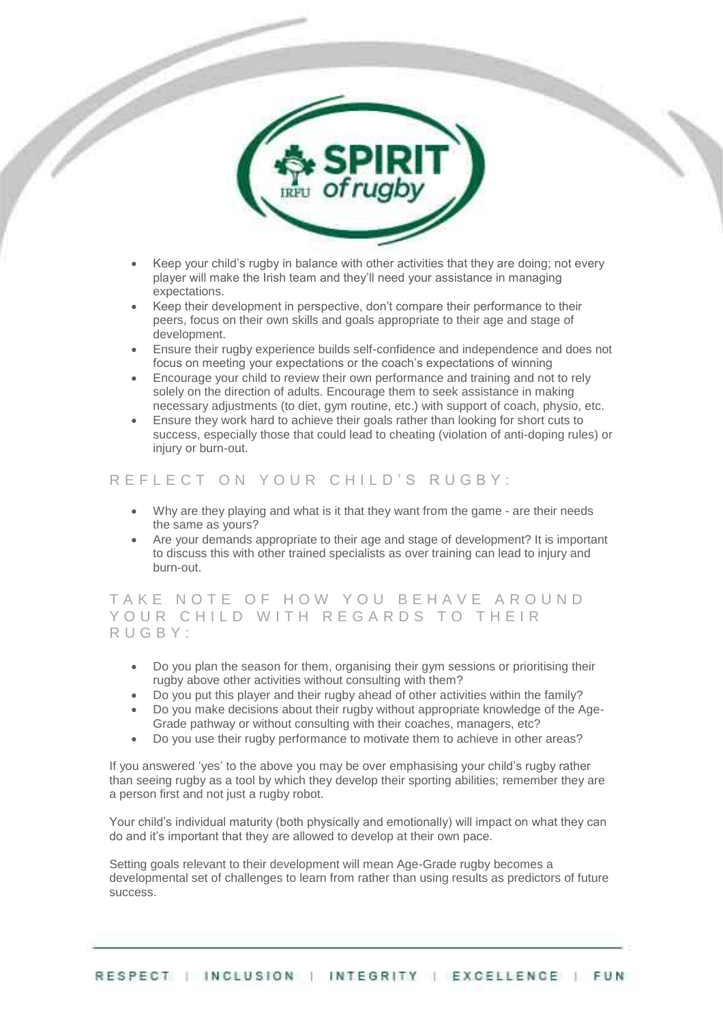

- Keep your child's rugby in balance with other activities that they are doing; not every player will make the Irish team and they'll need your assistance in managing expectations.
- Keep their development in perspective, don't compare their performance to their peers, focus on their own skills and goals appropriate to their age and stage of development.
- Ensure their rugby experience builds self-confidence and independence and does not focus on meeting your expectations or the coach's expectations of winning
- Encourage your child to review their own performance and training and not to rely solely on the direction of adults. Encourage them to seek assistance in making necessary adjustments (to diet, gym routine, etc.) with support of coach, physio, etc.
- Ensure they work hard to achieve their goals rather than looking for short cuts to success, especially those that could lead to cheating (violation of anti-doping rules) or injury or burn-out.

#### R E F L E C T O N Y O U R C H I L D'S R U G B Y :

- Why are they playing and what is it that they want from the game are their needs the same as yours?
- Are your demands appropriate to their age and stage of development? It is important to discuss this with other trained specialists as over training can lead to injury and burn-out.

TAKE NOTE OF HOW YOU BEHAVE AROUND YOUR CHILD WITH REGARDS TO THEIR R U G B Y :

- Do you plan the season for them, organising their gym sessions or prioritising their rugby above other activities without consulting with them?
- Do you put this player and their rugby ahead of other activities within the family?
- Do you make decisions about their rugby without appropriate knowledge of the Age-Grade pathway or without consulting with their coaches, managers, etc?
- Do you use their rugby performance to motivate them to achieve in other areas?

If you answered 'yes' to the above you may be over emphasising your child's rugby rather than seeing rugby as a tool by which they develop their sporting abilities; remember they are a person first and not just a rugby robot.

Your child's individual maturity (both physically and emotionally) will impact on what they can do and it's important that they are allowed to develop at their own pace.

Setting goals relevant to their development will mean Age-Grade rugby becomes a developmental set of challenges to learn from rather than using results as predictors of future success.